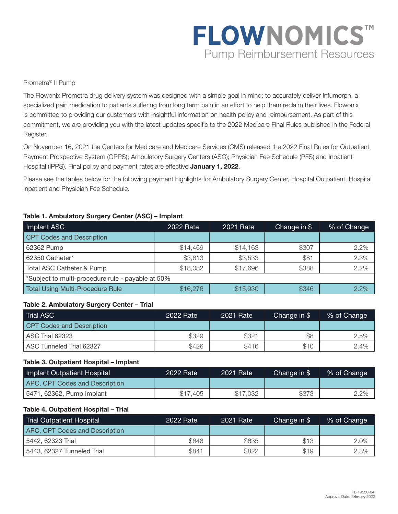# **FLOWNOMICS™** Pump Reimbursement Resources

#### Prometra® II Pump

The Flowonix Prometra drug delivery system was designed with a simple goal in mind: to accurately deliver Infumorph, a specialized pain medication to patients suffering from long term pain in an effort to help them reclaim their lives. Flowonix is committed to providing our customers with insightful information on health policy and reimbursement. As part of this commitment, we are providing you with the latest updates specific to the 2022 Medicare Final Rules published in the Federal Register.

On November 16, 2021 the Centers for Medicare and Medicare Services (CMS) released the 2022 Final Rules for Outpatient Payment Prospective System (OPPS); Ambulatory Surgery Centers (ASC); Physician Fee Schedule (PFS) and Inpatient Hospital (IPPS). Final policy and payment rates are effective **January 1, 2022**.

Please see the tables below for the following payment highlights for Ambulatory Surgery Center, Hospital Outpatient, Hospital Inpatient and Physician Fee Schedule.

#### **Table 1. Ambulatory Surgery Center (ASC) – Implant**

| Implant ASC                                       | 2022 Rate | 2021 Rate | Change in \$ | % of Change |  |
|---------------------------------------------------|-----------|-----------|--------------|-------------|--|
| <b>CPT Codes and Description</b>                  |           |           |              |             |  |
| 62362 Pump                                        | \$14,469  | \$14,163  | \$307        | 2.2%        |  |
| 62350 Catheter*                                   | \$3,613   | \$3,533   | \$81         | 2.3%        |  |
| Total ASC Catheter & Pump                         | \$18,082  | \$17,696  | \$388        | 2.2%        |  |
| *Subject to multi-procedure rule - payable at 50% |           |           |              |             |  |
| <b>Total Using Multi-Procedure Rule</b>           | \$16,276  | \$15,930  | \$346        | $2.2\%$     |  |

## **Table 2. Ambulatory Surgery Center – Trial**

| Trial ASC                        | 2022 Rate | 2021 Rate | Change in \$ | % of Change |
|----------------------------------|-----------|-----------|--------------|-------------|
| <b>CPT Codes and Description</b> |           |           |              |             |
| <b>ASC Trial 62323</b>           | \$329     | \$321     | \$8          | 2.5%        |
| ASC Tunneled Trial 62327         | \$426     | \$416     | \$1C         | 2.4%        |

## **Table 3. Outpatient Hospital – Implant**

| Implant Outpatient Hospital           | 2022 Rate | <b>2021 Rate</b> | Change in \$ | % of Change |
|---------------------------------------|-----------|------------------|--------------|-------------|
| <b>APC, CPT Codes and Description</b> |           |                  |              |             |
| 5471, 62362, Pump Implant             | \$17,405  | \$17,032         | \$373        | 2.2%        |

#### **Table 4. Outpatient Hospital – Trial**

| <b>Trial Outpatient Hospital</b> | 2022 Rate | 2021 Rate | Change in \$ | % of Change |
|----------------------------------|-----------|-----------|--------------|-------------|
| APC, CPT Codes and Description   |           |           |              |             |
| 5442. 62323 Trial                | \$648     | \$635     | \$13         | 2.0%        |
| 5443, 62327 Tunneled Trial       | \$841     | \$822     | \$19         | 2.3%        |